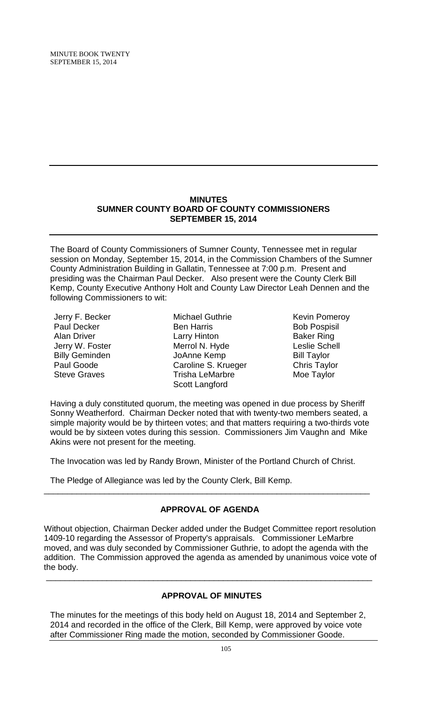# **MINUTES SUMNER COUNTY BOARD OF COUNTY COMMISSIONERS SEPTEMBER 15, 2014**

The Board of County Commissioners of Sumner County, Tennessee met in regular session on Monday, September 15, 2014, in the Commission Chambers of the Sumner County Administration Building in Gallatin, Tennessee at 7:00 p.m. Present and presiding was the Chairman Paul Decker. Also present were the County Clerk Bill Kemp, County Executive Anthony Holt and County Law Director Leah Dennen and the following Commissioners to wit:

Jerry F. Becker Paul Decker Alan Driver Jerry W. Foster Billy Geminden Paul Goode Steve Graves

Michael Guthrie Ben Harris Larry Hinton Merrol N. Hyde JoAnne Kemp Caroline S. Krueger Trisha LeMarbre Scott Langford

Kevin Pomeroy Bob Pospisil Baker Ring Leslie Schell Bill Taylor Chris Taylor Moe Taylor

Having a duly constituted quorum, the meeting was opened in due process by Sheriff Sonny Weatherford. Chairman Decker noted that with twenty-two members seated, a simple majority would be by thirteen votes; and that matters requiring a two-thirds vote would be by sixteen votes during this session. Commissioners Jim Vaughn and Mike Akins were not present for the meeting.

The Invocation was led by Randy Brown, Minister of the Portland Church of Christ.

The Pledge of Allegiance was led by the County Clerk, Bill Kemp.

# **APPROVAL OF AGENDA**

\_\_\_\_\_\_\_\_\_\_\_\_\_\_\_\_\_\_\_\_\_\_\_\_\_\_\_\_\_\_\_\_\_\_\_\_\_\_\_\_\_\_\_\_\_\_\_\_\_\_\_\_\_\_\_\_\_\_\_\_\_\_\_\_\_\_\_\_\_\_

Without objection, Chairman Decker added under the Budget Committee report resolution 1409-10 regarding the Assessor of Property's appraisals. Commissioner LeMarbre moved, and was duly seconded by Commissioner Guthrie, to adopt the agenda with the addition. The Commission approved the agenda as amended by unanimous voice vote of the body.

# **APPROVAL OF MINUTES**

\_\_\_\_\_\_\_\_\_\_\_\_\_\_\_\_\_\_\_\_\_\_\_\_\_\_\_\_\_\_\_\_\_\_\_\_\_\_\_\_\_\_\_\_\_\_\_\_\_\_\_\_\_\_\_\_\_\_\_\_\_\_\_\_\_\_\_\_\_\_

The minutes for the meetings of this body held on August 18, 2014 and September 2, 2014 and recorded in the office of the Clerk, Bill Kemp, were approved by voice vote after Commissioner Ring made the motion, seconded by Commissioner Goode.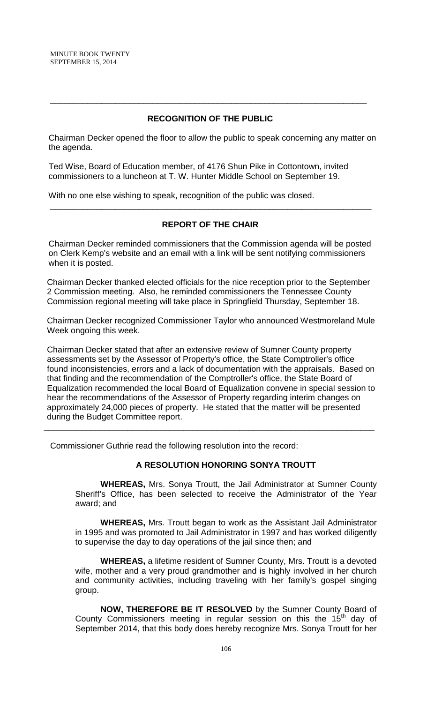# **RECOGNITION OF THE PUBLIC**

\_\_\_\_\_\_\_\_\_\_\_\_\_\_\_\_\_\_\_\_\_\_\_\_\_\_\_\_\_\_\_\_\_\_\_\_\_\_\_\_\_\_\_\_\_\_\_\_\_\_\_\_\_\_\_\_\_\_\_\_\_\_\_\_\_\_\_\_

 Chairman Decker opened the floor to allow the public to speak concerning any matter on the agenda.

 Ted Wise, Board of Education member, of 4176 Shun Pike in Cottontown, invited commissioners to a luncheon at T. W. Hunter Middle School on September 19.

With no one else wishing to speak, recognition of the public was closed.

# **REPORT OF THE CHAIR**

\_\_\_\_\_\_\_\_\_\_\_\_\_\_\_\_\_\_\_\_\_\_\_\_\_\_\_\_\_\_\_\_\_\_\_\_\_\_\_\_\_\_\_\_\_\_\_\_\_\_\_\_\_\_\_\_\_\_\_\_\_\_\_\_\_\_\_\_\_

 Chairman Decker reminded commissioners that the Commission agenda will be posted on Clerk Kemp's website and an email with a link will be sent notifying commissioners when it is posted.

Chairman Decker thanked elected officials for the nice reception prior to the September 2 Commission meeting. Also, he reminded commissioners the Tennessee County Commission regional meeting will take place in Springfield Thursday, September 18.

Chairman Decker recognized Commissioner Taylor who announced Westmoreland Mule Week ongoing this week.

Chairman Decker stated that after an extensive review of Sumner County property assessments set by the Assessor of Property's office, the State Comptroller's office found inconsistencies, errors and a lack of documentation with the appraisals. Based on that finding and the recommendation of the Comptroller's office, the State Board of Equalization recommended the local Board of Equalization convene in special session to hear the recommendations of the Assessor of Property regarding interim changes on approximately 24,000 pieces of property. He stated that the matter will be presented during the Budget Committee report.

\_\_\_\_\_\_\_\_\_\_\_\_\_\_\_\_\_\_\_\_\_\_\_\_\_\_\_\_\_\_\_\_\_\_\_\_\_\_\_\_\_\_\_\_\_\_\_\_\_\_\_\_\_\_\_\_\_\_\_\_\_\_\_\_\_\_\_\_\_\_\_

Commissioner Guthrie read the following resolution into the record:

### **A RESOLUTION HONORING SONYA TROUTT**

**WHEREAS,** Mrs. Sonya Troutt, the Jail Administrator at Sumner County Sheriff's Office, has been selected to receive the Administrator of the Year award; and

**WHEREAS,** Mrs. Troutt began to work as the Assistant Jail Administrator in 1995 and was promoted to Jail Administrator in 1997 and has worked diligently to supervise the day to day operations of the jail since then; and

**WHEREAS,** a lifetime resident of Sumner County, Mrs. Troutt is a devoted wife, mother and a very proud grandmother and is highly involved in her church and community activities, including traveling with her family's gospel singing group.

**NOW, THEREFORE BE IT RESOLVED** by the Sumner County Board of County Commissioners meeting in regular session on this the  $15<sup>th</sup>$  day of September 2014, that this body does hereby recognize Mrs. Sonya Troutt for her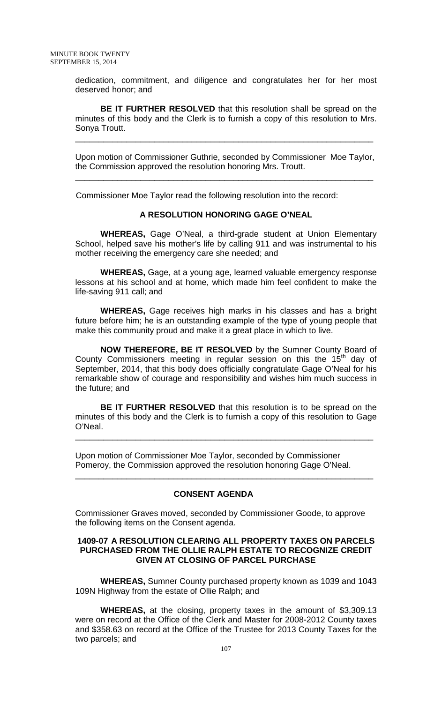dedication, commitment, and diligence and congratulates her for her most deserved honor; and

**BE IT FURTHER RESOLVED** that this resolution shall be spread on the minutes of this body and the Clerk is to furnish a copy of this resolution to Mrs. Sonya Troutt.

Upon motion of Commissioner Guthrie, seconded by Commissioner Moe Taylor, the Commission approved the resolution honoring Mrs. Troutt.

\_\_\_\_\_\_\_\_\_\_\_\_\_\_\_\_\_\_\_\_\_\_\_\_\_\_\_\_\_\_\_\_\_\_\_\_\_\_\_\_\_\_\_\_\_\_\_\_\_\_\_\_\_\_\_\_\_\_\_\_\_\_\_\_

\_\_\_\_\_\_\_\_\_\_\_\_\_\_\_\_\_\_\_\_\_\_\_\_\_\_\_\_\_\_\_\_\_\_\_\_\_\_\_\_\_\_\_\_\_\_\_\_\_\_\_\_\_\_\_\_\_\_\_\_\_\_\_\_

Commissioner Moe Taylor read the following resolution into the record:

### **A RESOLUTION HONORING GAGE O'NEAL**

**WHEREAS,** Gage O'Neal, a third-grade student at Union Elementary School, helped save his mother's life by calling 911 and was instrumental to his mother receiving the emergency care she needed; and

**WHEREAS,** Gage, at a young age, learned valuable emergency response lessons at his school and at home, which made him feel confident to make the life-saving 911 call; and

**WHEREAS,** Gage receives high marks in his classes and has a bright future before him; he is an outstanding example of the type of young people that make this community proud and make it a great place in which to live.

**NOW THEREFORE, BE IT RESOLVED** by the Sumner County Board of County Commissioners meeting in regular session on this the  $15<sup>th</sup>$  day of September, 2014, that this body does officially congratulate Gage O'Neal for his remarkable show of courage and responsibility and wishes him much success in the future; and

**BE IT FURTHER RESOLVED** that this resolution is to be spread on the minutes of this body and the Clerk is to furnish a copy of this resolution to Gage O'Neal.

\_\_\_\_\_\_\_\_\_\_\_\_\_\_\_\_\_\_\_\_\_\_\_\_\_\_\_\_\_\_\_\_\_\_\_\_\_\_\_\_\_\_\_\_\_\_\_\_\_\_\_\_\_\_\_\_\_\_\_\_\_\_\_\_

\_\_\_\_\_\_\_\_\_\_\_\_\_\_\_\_\_\_\_\_\_\_\_\_\_\_\_\_\_\_\_\_\_\_\_\_\_\_\_\_\_\_\_\_\_\_\_\_\_\_\_\_\_\_\_\_\_\_\_\_\_\_\_\_

Upon motion of Commissioner Moe Taylor, seconded by Commissioner Pomeroy, the Commission approved the resolution honoring Gage O'Neal.

### **CONSENT AGENDA**

Commissioner Graves moved, seconded by Commissioner Goode, to approve the following items on the Consent agenda.

#### **1409-07 A RESOLUTION CLEARING ALL PROPERTY TAXES ON PARCELS PURCHASED FROM THE OLLIE RALPH ESTATE TO RECOGNIZE CREDIT GIVEN AT CLOSING OF PARCEL PURCHASE**

**WHEREAS,** Sumner County purchased property known as 1039 and 1043 109N Highway from the estate of Ollie Ralph; and

**WHEREAS,** at the closing, property taxes in the amount of \$3,309.13 were on record at the Office of the Clerk and Master for 2008-2012 County taxes and \$358.63 on record at the Office of the Trustee for 2013 County Taxes for the two parcels; and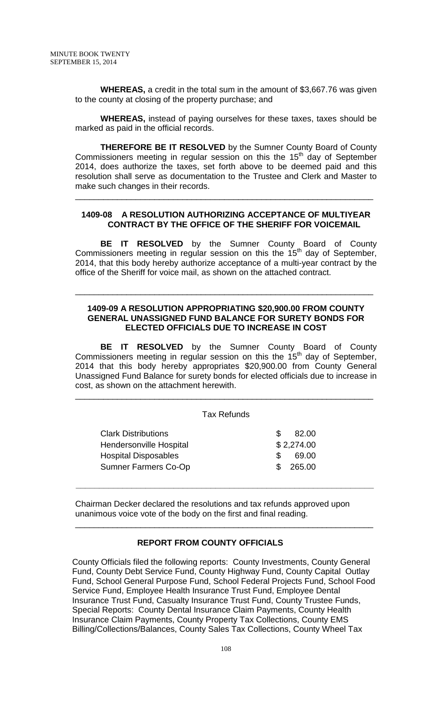**WHEREAS,** a credit in the total sum in the amount of \$3,667.76 was given to the county at closing of the property purchase; and

**WHEREAS,** instead of paying ourselves for these taxes, taxes should be marked as paid in the official records.

**THEREFORE BE IT RESOLVED** by the Sumner County Board of County Commissioners meeting in regular session on this the  $15<sup>th</sup>$  day of September 2014, does authorize the taxes, set forth above to be deemed paid and this resolution shall serve as documentation to the Trustee and Clerk and Master to make such changes in their records.

### **1409-08 A RESOLUTION AUTHORIZING ACCEPTANCE OF MULTIYEAR CONTRACT BY THE OFFICE OF THE SHERIFF FOR VOICEMAIL**

\_\_\_\_\_\_\_\_\_\_\_\_\_\_\_\_\_\_\_\_\_\_\_\_\_\_\_\_\_\_\_\_\_\_\_\_\_\_\_\_\_\_\_\_\_\_\_\_\_\_\_\_\_\_\_\_\_\_\_\_\_\_\_\_

**BE IT RESOLVED** by the Sumner County Board of County Commissioners meeting in regular session on this the  $15<sup>th</sup>$  day of September, 2014, that this body hereby authorize acceptance of a multi-year contract by the office of the Sheriff for voice mail, as shown on the attached contract.

### **1409-09 A RESOLUTION APPROPRIATING \$20,900.00 FROM COUNTY GENERAL UNASSIGNED FUND BALANCE FOR SURETY BONDS FOR ELECTED OFFICIALS DUE TO INCREASE IN COST**

\_\_\_\_\_\_\_\_\_\_\_\_\_\_\_\_\_\_\_\_\_\_\_\_\_\_\_\_\_\_\_\_\_\_\_\_\_\_\_\_\_\_\_\_\_\_\_\_\_\_\_\_\_\_\_\_\_\_\_\_\_\_\_\_

**BE IT RESOLVED** by the Sumner County Board of County Commissioners meeting in regular session on this the  $15<sup>th</sup>$  day of September, 2014 that this body hereby appropriates \$20,900.00 from County General Unassigned Fund Balance for surety bonds for elected officials due to increase in cost, as shown on the attachment herewith.

### Tax Refunds

\_\_\_\_\_\_\_\_\_\_\_\_\_\_\_\_\_\_\_\_\_\_\_\_\_\_\_\_\_\_\_\_\_\_\_\_\_\_\_\_\_\_\_\_\_\_\_\_\_\_\_\_\_\_\_\_\_\_\_\_\_\_\_\_

| <b>Clark Distributions</b>     | S.            | 82.00      |
|--------------------------------|---------------|------------|
| <b>Hendersonville Hospital</b> |               | \$2,274.00 |
| <b>Hospital Disposables</b>    | $\mathcal{S}$ | 69.00      |
| <b>Sumner Farmers Co-Op</b>    |               | \$265.00   |

Chairman Decker declared the resolutions and tax refunds approved upon unanimous voice vote of the body on the first and final reading.

\_\_\_\_\_\_\_\_\_\_\_\_\_\_\_\_\_\_\_\_\_\_\_\_\_\_\_\_\_\_\_\_\_\_\_\_\_\_\_\_\_\_\_\_\_\_\_\_\_\_\_\_\_\_\_\_\_\_\_\_\_\_\_\_

 **\_\_\_\_\_\_\_\_\_\_\_\_\_\_\_\_\_\_\_\_\_\_\_\_\_\_\_\_\_\_\_\_\_\_\_\_\_\_\_\_\_\_\_\_\_\_\_\_\_\_\_\_\_\_\_\_\_\_\_\_\_\_\_\_**

### **REPORT FROM COUNTY OFFICIALS**

County Officials filed the following reports: County Investments, County General Fund, County Debt Service Fund, County Highway Fund, County Capital Outlay Fund, School General Purpose Fund, School Federal Projects Fund, School Food Service Fund, Employee Health Insurance Trust Fund, Employee Dental Insurance Trust Fund, Casualty Insurance Trust Fund, County Trustee Funds, Special Reports: County Dental Insurance Claim Payments, County Health Insurance Claim Payments, County Property Tax Collections, County EMS Billing/Collections/Balances, County Sales Tax Collections, County Wheel Tax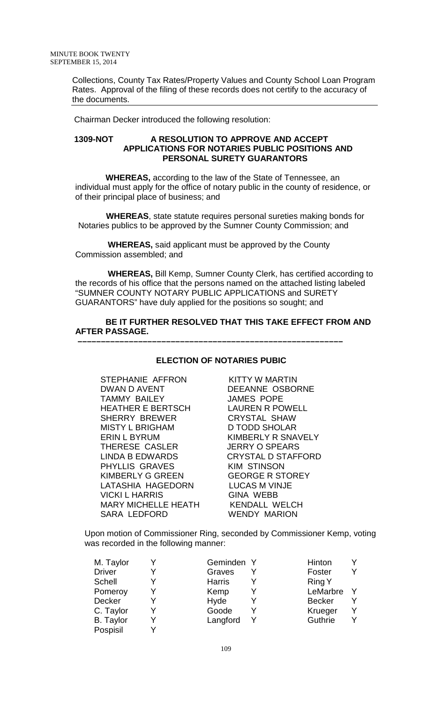Collections, County Tax Rates/Property Values and County School Loan Program Rates. Approval of the filing of these records does not certify to the accuracy of the documents.

Chairman Decker introduced the following resolution:

#### **1309-NOT A RESOLUTION TO APPROVE AND ACCEPT APPLICATIONS FOR NOTARIES PUBLIC POSITIONS AND PERSONAL SURETY GUARANTORS**

 **WHEREAS,** according to the law of the State of Tennessee, an individual must apply for the office of notary public in the county of residence, or of their principal place of business; and

 **WHEREAS**, state statute requires personal sureties making bonds for Notaries publics to be approved by the Sumner County Commission; and

 **WHEREAS,** said applicant must be approved by the County Commission assembled; and

 **–––––––––––––––––––––––––––––––––––––––––––––––––––––––––**

 **WHEREAS,** Bill Kemp, Sumner County Clerk, has certified according to the records of his office that the persons named on the attached listing labeled "SUMNER COUNTY NOTARY PUBLIC APPLICATIONS and SURETY GUARANTORS" have duly applied for the positions so sought; and

# **BE IT FURTHER RESOLVED THAT THIS TAKE EFFECT FROM AND AFTER PASSAGE.**

### **ELECTION OF NOTARIES PUBIC**

STEPHANIE AFFRON KITTY W MARTIN<br>DWAN D AVENT DEEANNE OSBOI TAMMY BAILEY JAMES POPE<br>HEATHER E BERTSCH LAUREN R POWELL HEATHER E BERTSCH LAUREN R POWELL SHERRY BREWER MISTY L BRIGHAM D TODD SHOLAR ERIN L BYRUM KIMBERLY R SNAVELY THERESE CASLER JERRY O SPEARS LINDA B EDWARDS CRYSTAL D STAFFORD PHYLLIS GRAVES KIM STINSON KIMBERLY G GREEN GEORGE R STOREY<br>LATASHIA HAGEDORN LUCAS M VINJE LATASHIA HAGEDORN VICKI L HARRIS GINA WEBB MARY MICHELLE HEATH<br>SARA LEDFORD

DEEANNE OSBORNE WENDY MARION

 Upon motion of Commissioner Ring, seconded by Commissioner Kemp, voting was recorded in the following manner:

| M. Taylor        | Geminden Y    | Hinton        |  |
|------------------|---------------|---------------|--|
| <b>Driver</b>    | Graves        | Foster        |  |
| <b>Schell</b>    | <b>Harris</b> | <b>Ring Y</b> |  |
| Pomeroy          | Kemp          | LeMarbre      |  |
| Decker           | Hyde          | <b>Becker</b> |  |
| C. Taylor        | Goode         | Krueger       |  |
| <b>B.</b> Taylor | Langford      | Guthrie       |  |
| Pospisil         |               |               |  |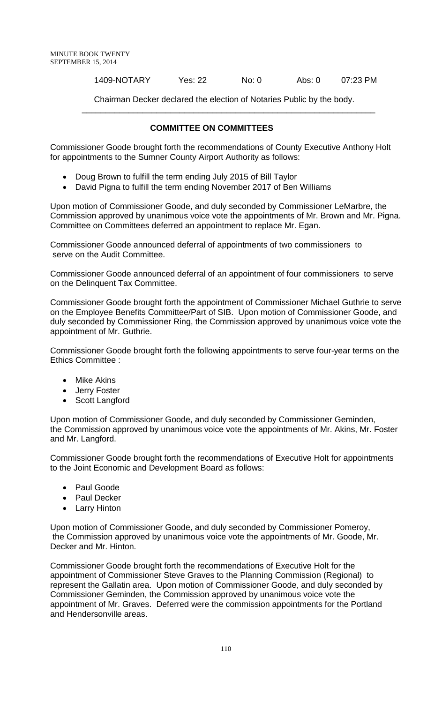### 1409-NOTARY Yes: 22 No: 0 Abs: 0 07:23 PM

Chairman Decker declared the election of Notaries Public by the body.

#### **COMMITTEE ON COMMITTEES**

\_\_\_\_\_\_\_\_\_\_\_\_\_\_\_\_\_\_\_\_\_\_\_\_\_\_\_\_\_\_\_\_\_\_\_\_\_\_\_\_\_\_\_\_\_\_\_\_\_\_\_\_\_\_\_\_\_\_\_\_\_\_\_

Commissioner Goode brought forth the recommendations of County Executive Anthony Holt for appointments to the Sumner County Airport Authority as follows:

- Doug Brown to fulfill the term ending July 2015 of Bill Taylor
- David Pigna to fulfill the term ending November 2017 of Ben Williams

Upon motion of Commissioner Goode, and duly seconded by Commissioner LeMarbre, the Commission approved by unanimous voice vote the appointments of Mr. Brown and Mr. Pigna. Committee on Committees deferred an appointment to replace Mr. Egan.

Commissioner Goode announced deferral of appointments of two commissioners to serve on the Audit Committee.

Commissioner Goode announced deferral of an appointment of four commissioners to serve on the Delinquent Tax Committee.

Commissioner Goode brought forth the appointment of Commissioner Michael Guthrie to serve on the Employee Benefits Committee/Part of SIB. Upon motion of Commissioner Goode, and duly seconded by Commissioner Ring, the Commission approved by unanimous voice vote the appointment of Mr. Guthrie.

Commissioner Goode brought forth the following appointments to serve four-year terms on the Ethics Committee :

- **Mike Akins**
- Jerry Foster
- Scott Langford

Upon motion of Commissioner Goode, and duly seconded by Commissioner Geminden, the Commission approved by unanimous voice vote the appointments of Mr. Akins, Mr. Foster and Mr. Langford.

Commissioner Goode brought forth the recommendations of Executive Holt for appointments to the Joint Economic and Development Board as follows:

- Paul Goode
- Paul Decker
- Larry Hinton

Upon motion of Commissioner Goode, and duly seconded by Commissioner Pomeroy, the Commission approved by unanimous voice vote the appointments of Mr. Goode, Mr. Decker and Mr. Hinton.

Commissioner Goode brought forth the recommendations of Executive Holt for the appointment of Commissioner Steve Graves to the Planning Commission (Regional) to represent the Gallatin area. Upon motion of Commissioner Goode, and duly seconded by Commissioner Geminden, the Commission approved by unanimous voice vote the appointment of Mr. Graves. Deferred were the commission appointments for the Portland and Hendersonville areas.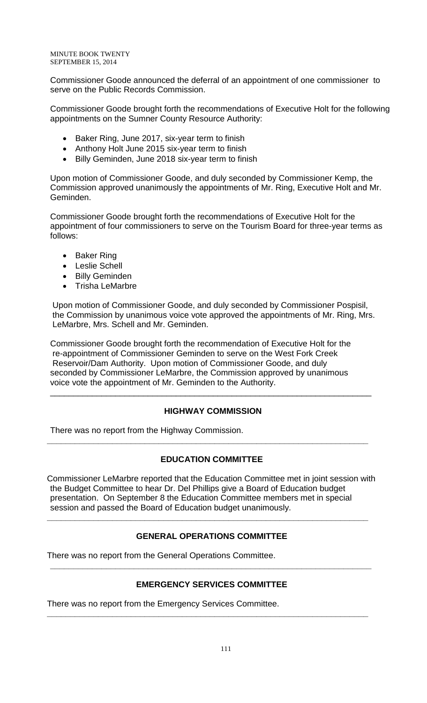MINUTE BOOK TWENTY SEPTEMBER 15, 2014

Commissioner Goode announced the deferral of an appointment of one commissioner to serve on the Public Records Commission.

Commissioner Goode brought forth the recommendations of Executive Holt for the following appointments on the Sumner County Resource Authority:

- Baker Ring, June 2017, six-year term to finish
- Anthony Holt June 2015 six-year term to finish
- Billy Geminden, June 2018 six-year term to finish

Upon motion of Commissioner Goode, and duly seconded by Commissioner Kemp, the Commission approved unanimously the appointments of Mr. Ring, Executive Holt and Mr. Geminden.

Commissioner Goode brought forth the recommendations of Executive Holt for the appointment of four commissioners to serve on the Tourism Board for three-year terms as follows:

- Baker Ring
- Leslie Schell
- Billy Geminden
- Trisha LeMarbre

Upon motion of Commissioner Goode, and duly seconded by Commissioner Pospisil, the Commission by unanimous voice vote approved the appointments of Mr. Ring, Mrs. LeMarbre, Mrs. Schell and Mr. Geminden.

Commissioner Goode brought forth the recommendation of Executive Holt for the re-appointment of Commissioner Geminden to serve on the West Fork Creek Reservoir/Dam Authority. Upon motion of Commissioner Goode, and duly seconded by Commissioner LeMarbre, the Commission approved by unanimous voice vote the appointment of Mr. Geminden to the Authority.

# **HIGHWAY COMMISSION**

\_\_\_\_\_\_\_\_\_\_\_\_\_\_\_\_\_\_\_\_\_\_\_\_\_\_\_\_\_\_\_\_\_\_\_\_\_\_\_\_\_\_\_\_\_\_\_\_\_\_\_\_\_\_\_\_\_\_\_\_\_\_\_\_\_\_\_\_\_

There was no report from the Highway Commission.

# **EDUCATION COMMITTEE**

**\_\_\_\_\_\_\_\_\_\_\_\_\_\_\_\_\_\_\_\_\_\_\_\_\_\_\_\_\_\_\_\_\_\_\_\_\_\_\_\_\_\_\_\_\_\_\_\_\_\_\_\_\_\_\_\_\_\_\_\_\_\_\_\_\_\_\_\_\_**

Commissioner LeMarbre reported that the Education Committee met in joint session with the Budget Committee to hear Dr. Del Phillips give a Board of Education budget presentation. On September 8 the Education Committee members met in special session and passed the Board of Education budget unanimously.

# **GENERAL OPERATIONS COMMITTEE**

**\_\_\_\_\_\_\_\_\_\_\_\_\_\_\_\_\_\_\_\_\_\_\_\_\_\_\_\_\_\_\_\_\_\_\_\_\_\_\_\_\_\_\_\_\_\_\_\_\_\_\_\_\_\_\_\_\_\_\_\_\_\_\_\_\_\_\_\_\_**

There was no report from the General Operations Committee.

# **EMERGENCY SERVICES COMMITTEE**

**\_\_\_\_\_\_\_\_\_\_\_\_\_\_\_\_\_\_\_\_\_\_\_\_\_\_\_\_\_\_\_\_\_\_\_\_\_\_\_\_\_\_\_\_\_\_\_\_\_\_\_\_\_\_\_\_\_\_\_\_\_\_\_\_\_\_\_\_\_**

**\_\_\_\_\_\_\_\_\_\_\_\_\_\_\_\_\_\_\_\_\_\_\_\_\_\_\_\_\_\_\_\_\_\_\_\_\_\_\_\_\_\_\_\_\_\_\_\_\_\_\_\_\_\_\_\_\_\_\_\_\_\_\_\_\_\_\_\_\_**

There was no report from the Emergency Services Committee.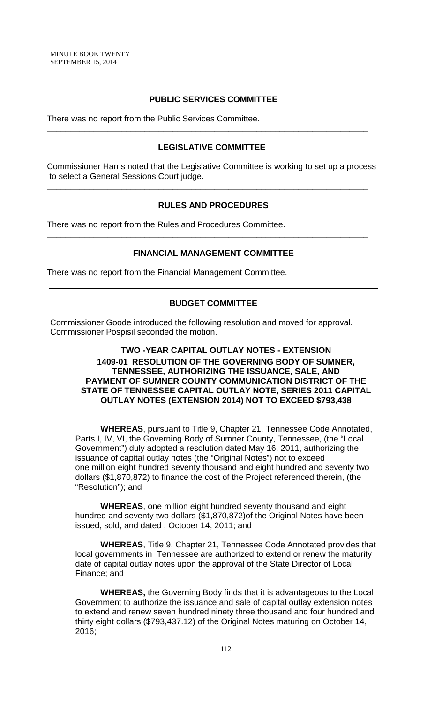# **PUBLIC SERVICES COMMITTEE**

There was no report from the Public Services Committee.

### **LEGISLATIVE COMMITTEE**

**\_\_\_\_\_\_\_\_\_\_\_\_\_\_\_\_\_\_\_\_\_\_\_\_\_\_\_\_\_\_\_\_\_\_\_\_\_\_\_\_\_\_\_\_\_\_\_\_\_\_\_\_\_\_\_\_\_\_\_\_\_\_\_\_\_\_\_\_\_**

Commissioner Harris noted that the Legislative Committee is working to set up a process to select a General Sessions Court judge.

**\_\_\_\_\_\_\_\_\_\_\_\_\_\_\_\_\_\_\_\_\_\_\_\_\_\_\_\_\_\_\_\_\_\_\_\_\_\_\_\_\_\_\_\_\_\_\_\_\_\_\_\_\_\_\_\_\_\_\_\_\_\_\_\_\_\_\_\_\_**

**\_\_\_\_\_\_\_\_\_\_\_\_\_\_\_\_\_\_\_\_\_\_\_\_\_\_\_\_\_\_\_\_\_\_\_\_\_\_\_\_\_\_\_\_\_\_\_\_\_\_\_\_\_\_\_\_\_\_\_\_\_\_\_\_\_\_\_\_\_**

### **RULES AND PROCEDURES**

There was no report from the Rules and Procedures Committee.

### **FINANCIAL MANAGEMENT COMMITTEE**

There was no report from the Financial Management Committee.

### **BUDGET COMMITTEE**

Commissioner Goode introduced the following resolution and moved for approval. Commissioner Pospisil seconded the motion.

# **TWO -YEAR CAPITAL OUTLAY NOTES - EXTENSION 1409-01 RESOLUTION OF THE GOVERNING BODY OF SUMNER, TENNESSEE, AUTHORIZING THE ISSUANCE, SALE, AND PAYMENT OF SUMNER COUNTY COMMUNICATION DISTRICT OF THE STATE OF TENNESSEE CAPITAL OUTLAY NOTE, SERIES 2011 CAPITAL OUTLAY NOTES (EXTENSION 2014) NOT TO EXCEED \$793,438**

 **WHEREAS**, pursuant to Title 9, Chapter 21, Tennessee Code Annotated, Parts I, IV, VI, the Governing Body of Sumner County, Tennessee, (the "Local Government") duly adopted a resolution dated May 16, 2011, authorizing the issuance of capital outlay notes (the "Original Notes") not to exceed one million eight hundred seventy thousand and eight hundred and seventy two dollars (\$1,870,872) to finance the cost of the Project referenced therein, (the "Resolution"); and

**WHEREAS**, one million eight hundred seventy thousand and eight hundred and seventy two dollars (\$1,870,872)of the Original Notes have been issued, sold, and dated , October 14, 2011; and

**WHEREAS**, Title 9, Chapter 21, Tennessee Code Annotated provides that local governments in Tennessee are authorized to extend or renew the maturity date of capital outlay notes upon the approval of the State Director of Local Finance; and

**WHEREAS,** the Governing Body finds that it is advantageous to the Local Government to authorize the issuance and sale of capital outlay extension notes to extend and renew seven hundred ninety three thousand and four hundred and thirty eight dollars (\$793,437.12) of the Original Notes maturing on October 14, 2016;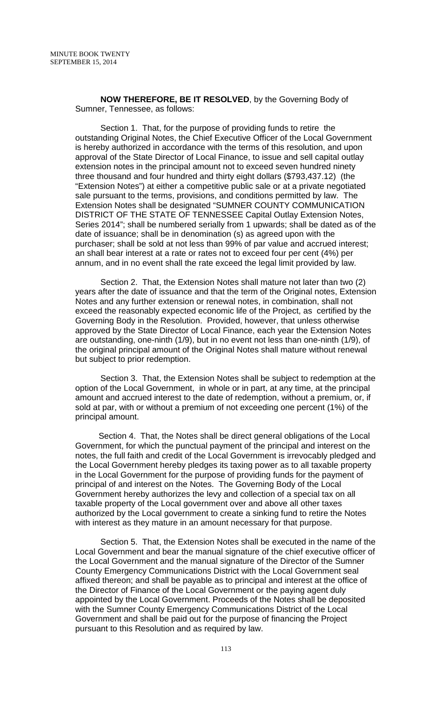**NOW THEREFORE, BE IT RESOLVED**, by the Governing Body of Sumner, Tennessee, as follows:

 Section 1. That, for the purpose of providing funds to retire the outstanding Original Notes, the Chief Executive Officer of the Local Government is hereby authorized in accordance with the terms of this resolution, and upon approval of the State Director of Local Finance, to issue and sell capital outlay extension notes in the principal amount not to exceed seven hundred ninety three thousand and four hundred and thirty eight dollars (\$793,437.12) (the "Extension Notes") at either a competitive public sale or at a private negotiated sale pursuant to the terms, provisions, and conditions permitted by law. The Extension Notes shall be designated "SUMNER COUNTY COMMUNICATION DISTRICT OF THE STATE OF TENNESSEE Capital Outlay Extension Notes, Series 2014"; shall be numbered serially from 1 upwards; shall be dated as of the date of issuance; shall be in denomination (s) as agreed upon with the purchaser; shall be sold at not less than 99% of par value and accrued interest; an shall bear interest at a rate or rates not to exceed four per cent (4%) per annum, and in no event shall the rate exceed the legal limit provided by law.

Section 2. That, the Extension Notes shall mature not later than two (2) years after the date of issuance and that the term of the Original notes, Extension Notes and any further extension or renewal notes, in combination, shall not exceed the reasonably expected economic life of the Project, as certified by the Governing Body in the Resolution. Provided, however, that unless otherwise approved by the State Director of Local Finance, each year the Extension Notes are outstanding, one-ninth (1/9), but in no event not less than one-ninth (1/9), of the original principal amount of the Original Notes shall mature without renewal but subject to prior redemption.

Section 3. That, the Extension Notes shall be subject to redemption at the option of the Local Government, in whole or in part, at any time, at the principal amount and accrued interest to the date of redemption, without a premium, or, if sold at par, with or without a premium of not exceeding one percent (1%) of the principal amount.

 Section 4. That, the Notes shall be direct general obligations of the Local Government, for which the punctual payment of the principal and interest on the notes, the full faith and credit of the Local Government is irrevocably pledged and the Local Government hereby pledges its taxing power as to all taxable property in the Local Government for the purpose of providing funds for the payment of principal of and interest on the Notes. The Governing Body of the Local Government hereby authorizes the levy and collection of a special tax on all taxable property of the Local government over and above all other taxes authorized by the Local government to create a sinking fund to retire the Notes with interest as they mature in an amount necessary for that purpose.

Section 5. That, the Extension Notes shall be executed in the name of the Local Government and bear the manual signature of the chief executive officer of the Local Government and the manual signature of the Director of the Sumner County Emergency Communications District with the Local Government seal affixed thereon; and shall be payable as to principal and interest at the office of the Director of Finance of the Local Government or the paying agent duly appointed by the Local Government. Proceeds of the Notes shall be deposited with the Sumner County Emergency Communications District of the Local Government and shall be paid out for the purpose of financing the Project pursuant to this Resolution and as required by law.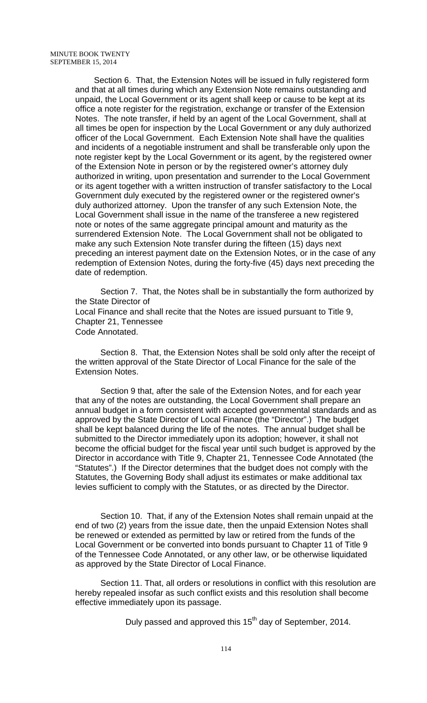Section 6. That, the Extension Notes will be issued in fully registered form and that at all times during which any Extension Note remains outstanding and unpaid, the Local Government or its agent shall keep or cause to be kept at its office a note register for the registration, exchange or transfer of the Extension Notes. The note transfer, if held by an agent of the Local Government, shall at all times be open for inspection by the Local Government or any duly authorized officer of the Local Government. Each Extension Note shall have the qualities and incidents of a negotiable instrument and shall be transferable only upon the note register kept by the Local Government or its agent, by the registered owner of the Extension Note in person or by the registered owner's attorney duly authorized in writing, upon presentation and surrender to the Local Government or its agent together with a written instruction of transfer satisfactory to the Local Government duly executed by the registered owner or the registered owner's duly authorized attorney. Upon the transfer of any such Extension Note, the Local Government shall issue in the name of the transferee a new registered note or notes of the same aggregate principal amount and maturity as the surrendered Extension Note. The Local Government shall not be obligated to make any such Extension Note transfer during the fifteen (15) days next preceding an interest payment date on the Extension Notes, or in the case of any redemption of Extension Notes, during the forty-five (45) days next preceding the date of redemption.

Section 7. That, the Notes shall be in substantially the form authorized by the State Director of Local Finance and shall recite that the Notes are issued pursuant to Title 9, Chapter 21, Tennessee Code Annotated.

Section 8. That, the Extension Notes shall be sold only after the receipt of the written approval of the State Director of Local Finance for the sale of the Extension Notes.

Section 9 that, after the sale of the Extension Notes, and for each year that any of the notes are outstanding, the Local Government shall prepare an annual budget in a form consistent with accepted governmental standards and as approved by the State Director of Local Finance (the "Director".) The budget shall be kept balanced during the life of the notes. The annual budget shall be submitted to the Director immediately upon its adoption; however, it shall not become the official budget for the fiscal year until such budget is approved by the Director in accordance with Title 9, Chapter 21, Tennessee Code Annotated (the "Statutes".) If the Director determines that the budget does not comply with the Statutes, the Governing Body shall adjust its estimates or make additional tax levies sufficient to comply with the Statutes, or as directed by the Director.

Section 10. That, if any of the Extension Notes shall remain unpaid at the end of two (2) years from the issue date, then the unpaid Extension Notes shall be renewed or extended as permitted by law or retired from the funds of the Local Government or be converted into bonds pursuant to Chapter 11 of Title 9 of the Tennessee Code Annotated, or any other law, or be otherwise liquidated as approved by the State Director of Local Finance.

Section 11. That, all orders or resolutions in conflict with this resolution are hereby repealed insofar as such conflict exists and this resolution shall become effective immediately upon its passage.

Duly passed and approved this 15<sup>th</sup> day of September, 2014.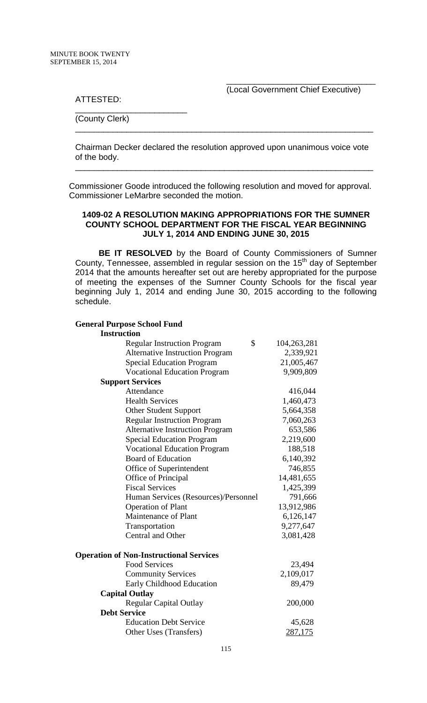$\overline{\phantom{a}}$  , and the contract of the contract of the contract of the contract of the contract of the contract of the contract of the contract of the contract of the contract of the contract of the contract of the contrac (Local Government Chief Executive)

ATTESTED:

(County Clerk)

\_\_\_\_\_\_\_\_\_\_\_\_\_\_\_\_\_\_\_\_\_\_\_\_

Chairman Decker declared the resolution approved upon unanimous voice vote of the body.

\_\_\_\_\_\_\_\_\_\_\_\_\_\_\_\_\_\_\_\_\_\_\_\_\_\_\_\_\_\_\_\_\_\_\_\_\_\_\_\_\_\_\_\_\_\_\_\_\_\_\_\_\_\_\_\_\_\_\_\_\_\_\_\_

\_\_\_\_\_\_\_\_\_\_\_\_\_\_\_\_\_\_\_\_\_\_\_\_\_\_\_\_\_\_\_\_\_\_\_\_\_\_\_\_\_\_\_\_\_\_\_\_\_\_\_\_\_\_\_\_\_\_\_\_\_\_\_\_

Commissioner Goode introduced the following resolution and moved for approval. Commissioner LeMarbre seconded the motion.

### **1409-02 A RESOLUTION MAKING APPROPRIATIONS FOR THE SUMNER COUNTY SCHOOL DEPARTMENT FOR THE FISCAL YEAR BEGINNING JULY 1, 2014 AND ENDING JUNE 30, 2015**

 **BE IT RESOLVED** by the Board of County Commissioners of Sumner County, Tennessee, assembled in regular session on the  $15<sup>th</sup>$  day of September 2014 that the amounts hereafter set out are hereby appropriated for the purpose of meeting the expenses of the Sumner County Schools for the fiscal year beginning July 1, 2014 and ending June 30, 2015 according to the following schedule.

#### **General Purpose School Fund**

| <b>Instruction</b>                             |                   |
|------------------------------------------------|-------------------|
| <b>Regular Instruction Program</b>             | \$<br>104,263,281 |
| <b>Alternative Instruction Program</b>         | 2,339,921         |
| <b>Special Education Program</b>               | 21,005,467        |
| <b>Vocational Education Program</b>            | 9,909,809         |
| <b>Support Services</b>                        |                   |
| Attendance                                     | 416,044           |
| <b>Health Services</b>                         | 1,460,473         |
| <b>Other Student Support</b>                   | 5,664,358         |
| <b>Regular Instruction Program</b>             | 7,060,263         |
| <b>Alternative Instruction Program</b>         | 653,586           |
| <b>Special Education Program</b>               | 2,219,600         |
| <b>Vocational Education Program</b>            | 188,518           |
| <b>Board of Education</b>                      | 6,140,392         |
| Office of Superintendent                       | 746,855           |
| Office of Principal                            | 14,481,655        |
| <b>Fiscal Services</b>                         | 1,425,399         |
| Human Services (Resources)/Personnel           | 791,666           |
| <b>Operation of Plant</b>                      | 13,912,986        |
| Maintenance of Plant                           | 6,126,147         |
| Transportation                                 | 9,277,647         |
| <b>Central and Other</b>                       | 3,081,428         |
| <b>Operation of Non-Instructional Services</b> |                   |
| <b>Food Services</b>                           | 23,494            |
| <b>Community Services</b>                      | 2,109,017         |
| Early Childhood Education                      | 89,479            |
| <b>Capital Outlay</b>                          |                   |
| <b>Regular Capital Outlay</b>                  | 200,000           |
| <b>Debt Service</b>                            |                   |
| <b>Education Debt Service</b>                  | 45,628            |
| Other Uses (Transfers)                         | <u>287,175</u>    |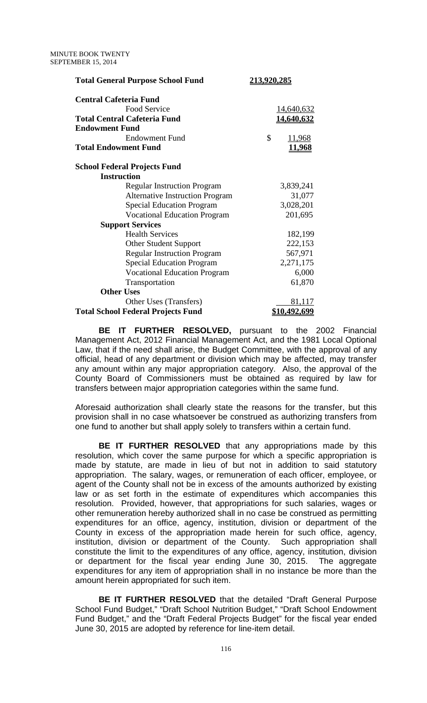| <b>Total General Purpose School Fund</b>  | <u>213,920,285</u>  |
|-------------------------------------------|---------------------|
| <b>Central Cafeteria Fund</b>             |                     |
| Food Service                              | 14,640,632          |
| <b>Total Central Cafeteria Fund</b>       | <u>14,640,632</u>   |
| <b>Endowment Fund</b>                     |                     |
| <b>Endowment Fund</b>                     | \$<br><u>11,968</u> |
| <b>Total Endowment Fund</b>               | <u>11,968</u>       |
| <b>School Federal Projects Fund</b>       |                     |
| <b>Instruction</b>                        |                     |
| <b>Regular Instruction Program</b>        | 3,839,241           |
| <b>Alternative Instruction Program</b>    | 31,077              |
| <b>Special Education Program</b>          | 3,028,201           |
| <b>Vocational Education Program</b>       | 201,695             |
| <b>Support Services</b>                   |                     |
| <b>Health Services</b>                    | 182,199             |
| <b>Other Student Support</b>              | 222,153             |
| <b>Regular Instruction Program</b>        | 567,971             |
| <b>Special Education Program</b>          | 2,271,175           |
| <b>Vocational Education Program</b>       | 6,000               |
| Transportation                            | 61,870              |
| <b>Other Uses</b>                         |                     |
| Other Uses (Transfers)                    | 81,117              |
| <b>Total School Federal Projects Fund</b> | <u>\$10,492,699</u> |

 **BE IT FURTHER RESOLVED,** pursuant to the 2002 Financial Management Act, 2012 Financial Management Act, and the 1981 Local Optional Law, that if the need shall arise, the Budget Committee, with the approval of any official, head of any department or division which may be affected, may transfer any amount within any major appropriation category. Also, the approval of the County Board of Commissioners must be obtained as required by law for transfers between major appropriation categories within the same fund.

Aforesaid authorization shall clearly state the reasons for the transfer, but this provision shall in no case whatsoever be construed as authorizing transfers from one fund to another but shall apply solely to transfers within a certain fund.

**BE IT FURTHER RESOLVED** that any appropriations made by this resolution, which cover the same purpose for which a specific appropriation is made by statute, are made in lieu of but not in addition to said statutory appropriation. The salary, wages, or remuneration of each officer, employee, or agent of the County shall not be in excess of the amounts authorized by existing law or as set forth in the estimate of expenditures which accompanies this resolution. Provided, however, that appropriations for such salaries, wages or other remuneration hereby authorized shall in no case be construed as permitting expenditures for an office, agency, institution, division or department of the County in excess of the appropriation made herein for such office, agency, institution, division or department of the County. Such appropriation shall constitute the limit to the expenditures of any office, agency, institution, division or department for the fiscal year ending June 30, 2015. The aggregate expenditures for any item of appropriation shall in no instance be more than the amount herein appropriated for such item.

 **BE IT FURTHER RESOLVED** that the detailed "Draft General Purpose School Fund Budget," "Draft School Nutrition Budget," "Draft School Endowment Fund Budget," and the "Draft Federal Projects Budget" for the fiscal year ended June 30, 2015 are adopted by reference for line-item detail.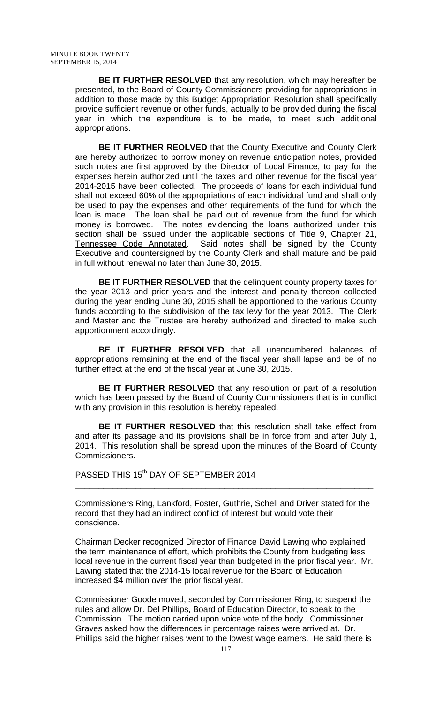**BE IT FURTHER RESOLVED** that any resolution, which may hereafter be presented, to the Board of County Commissioners providing for appropriations in addition to those made by this Budget Appropriation Resolution shall specifically provide sufficient revenue or other funds, actually to be provided during the fiscal year in which the expenditure is to be made, to meet such additional appropriations.

**BE IT FURTHER REOLVED** that the County Executive and County Clerk are hereby authorized to borrow money on revenue anticipation notes, provided such notes are first approved by the Director of Local Finance, to pay for the expenses herein authorized until the taxes and other revenue for the fiscal year 2014-2015 have been collected. The proceeds of loans for each individual fund shall not exceed 60% of the appropriations of each individual fund and shall only be used to pay the expenses and other requirements of the fund for which the loan is made. The loan shall be paid out of revenue from the fund for which money is borrowed. The notes evidencing the loans authorized under this section shall be issued under the applicable sections of Title 9, Chapter 21,<br>Tennessee Code Annotated. Said notes shall be signed by the County Said notes shall be signed by the County Executive and countersigned by the County Clerk and shall mature and be paid in full without renewal no later than June 30, 2015.

 **BE IT FURTHER RESOLVED** that the delinquent county property taxes for the year 2013 and prior years and the interest and penalty thereon collected during the year ending June 30, 2015 shall be apportioned to the various County funds according to the subdivision of the tax levy for the year 2013. The Clerk and Master and the Trustee are hereby authorized and directed to make such apportionment accordingly.

 **BE IT FURTHER RESOLVED** that all unencumbered balances of appropriations remaining at the end of the fiscal year shall lapse and be of no further effect at the end of the fiscal year at June 30, 2015.

**BE IT FURTHER RESOLVED** that any resolution or part of a resolution which has been passed by the Board of County Commissioners that is in conflict with any provision in this resolution is hereby repealed.

 **BE IT FURTHER RESOLVED** that this resolution shall take effect from and after its passage and its provisions shall be in force from and after July 1, 2014. This resolution shall be spread upon the minutes of the Board of County Commissioners.

PASSED THIS 15<sup>th</sup> DAY OF SEPTEMBER 2014

Commissioners Ring, Lankford, Foster, Guthrie, Schell and Driver stated for the record that they had an indirect conflict of interest but would vote their conscience.

\_\_\_\_\_\_\_\_\_\_\_\_\_\_\_\_\_\_\_\_\_\_\_\_\_\_\_\_\_\_\_\_\_\_\_\_\_\_\_\_\_\_\_\_\_\_\_\_\_\_\_\_\_\_\_\_\_\_\_\_\_\_\_\_

Chairman Decker recognized Director of Finance David Lawing who explained the term maintenance of effort, which prohibits the County from budgeting less local revenue in the current fiscal year than budgeted in the prior fiscal year. Mr. Lawing stated that the 2014-15 local revenue for the Board of Education increased \$4 million over the prior fiscal year.

Commissioner Goode moved, seconded by Commissioner Ring, to suspend the rules and allow Dr. Del Phillips, Board of Education Director, to speak to the Commission. The motion carried upon voice vote of the body. Commissioner Graves asked how the differences in percentage raises were arrived at. Dr. Phillips said the higher raises went to the lowest wage earners. He said there is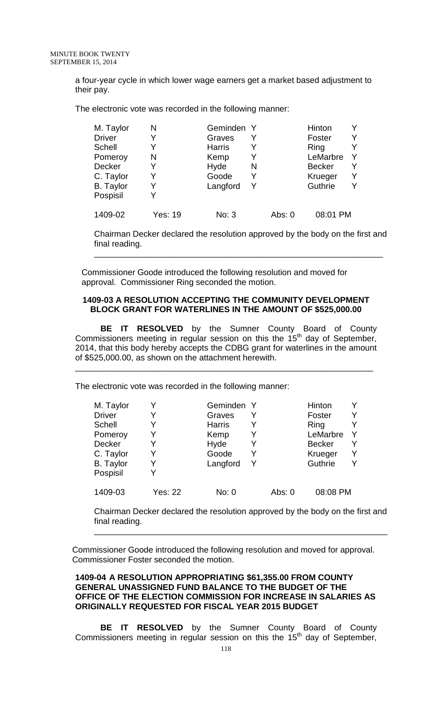a four-year cycle in which lower wage earners get a market based adjustment to their pay.

The electronic vote was recorded in the following manner:

| M. Taylor        | N       | Geminden Y    |   |          | Hinton        |  |
|------------------|---------|---------------|---|----------|---------------|--|
| <b>Driver</b>    | Y       | Graves        |   |          | Foster        |  |
| <b>Schell</b>    |         | <b>Harris</b> |   |          | Ring          |  |
| Pomeroy          | N       | Kemp          |   |          | LeMarbre      |  |
| <b>Decker</b>    | Y       | Hyde          | N |          | <b>Becker</b> |  |
| C. Taylor        | Y       | Goode         | Y |          | Krueger       |  |
| <b>B.</b> Taylor |         | Langford      | Y |          | Guthrie       |  |
| Pospisil         |         |               |   |          |               |  |
| 1409-02          | Yes: 19 | No: 3         |   | Abs: $0$ | 08:01 PM      |  |

Chairman Decker declared the resolution approved by the body on the first and final reading.

\_\_\_\_\_\_\_\_\_\_\_\_\_\_\_\_\_\_\_\_\_\_\_\_\_\_\_\_\_\_\_\_\_\_\_\_\_\_\_\_\_\_\_\_\_\_\_\_\_\_\_\_\_\_\_\_\_\_\_\_\_\_

Commissioner Goode introduced the following resolution and moved for approval. Commissioner Ring seconded the motion.

#### **1409-03 A RESOLUTION ACCEPTING THE COMMUNITY DEVELOPMENT BLOCK GRANT FOR WATERLINES IN THE AMOUNT OF \$525,000.00**

**BE IT RESOLVED** by the Sumner County Board of County Commissioners meeting in regular session on this the  $15<sup>th</sup>$  day of September, 2014, that this body hereby accepts the CDBG grant for waterlines in the amount of \$525,000.00, as shown on the attachment herewith.

\_\_\_\_\_\_\_\_\_\_\_\_\_\_\_\_\_\_\_\_\_\_\_\_\_\_\_\_\_\_\_\_\_\_\_\_\_\_\_\_\_\_\_\_\_\_\_\_\_\_\_\_\_\_\_\_\_\_\_\_\_\_\_\_

The electronic vote was recorded in the following manner:

| M. Taylor        |         | Geminden Y    |   |        | Hinton        |   |
|------------------|---------|---------------|---|--------|---------------|---|
| <b>Driver</b>    |         | Graves        |   |        | Foster        | Y |
| <b>Schell</b>    |         | <b>Harris</b> |   |        | Ring          | v |
| Pomeroy          |         | Kemp          |   |        | LeMarbre      |   |
| <b>Decker</b>    |         | Hyde          |   |        | <b>Becker</b> | Y |
| C. Taylor        | Y       | Goode         | Y |        | Krueger       | v |
| <b>B.</b> Taylor |         | Langford      | Y |        | Guthrie       | v |
| Pospisil         |         |               |   |        |               |   |
| 1409-03          | Yes: 22 | No: 0         |   | Abs: 0 | 08:08 PM      |   |

Chairman Decker declared the resolution approved by the body on the first and final reading.

\_\_\_\_\_\_\_\_\_\_\_\_\_\_\_\_\_\_\_\_\_\_\_\_\_\_\_\_\_\_\_\_\_\_\_\_\_\_\_\_\_\_\_\_\_\_\_\_\_\_\_\_\_\_\_\_\_\_\_\_\_\_\_

Commissioner Goode introduced the following resolution and moved for approval. Commissioner Foster seconded the motion.

# **1409-04 A RESOLUTION APPROPRIATING \$61,355.00 FROM COUNTY GENERAL UNASSIGNED FUND BALANCE TO THE BUDGET OF THE OFFICE OF THE ELECTION COMMISSION FOR INCREASE IN SALARIES AS ORIGINALLY REQUESTED FOR FISCAL YEAR 2015 BUDGET**

**BE IT RESOLVED** by the Sumner County Board of County Commissioners meeting in regular session on this the  $15<sup>th</sup>$  day of September,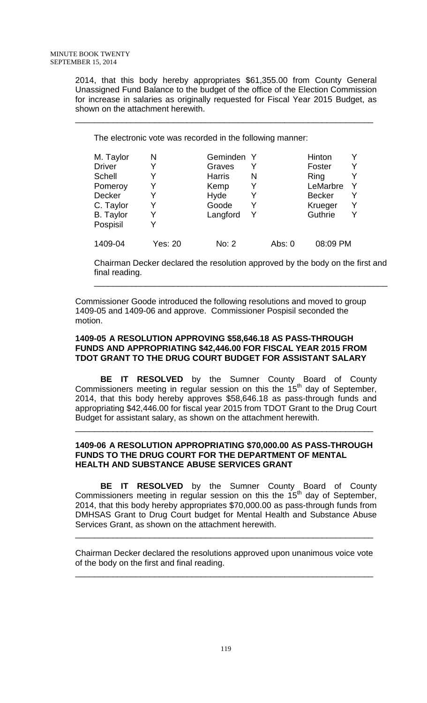2014, that this body hereby appropriates \$61,355.00 from County General Unassigned Fund Balance to the budget of the office of the Election Commission for increase in salaries as originally requested for Fiscal Year 2015 Budget, as shown on the attachment herewith.

\_\_\_\_\_\_\_\_\_\_\_\_\_\_\_\_\_\_\_\_\_\_\_\_\_\_\_\_\_\_\_\_\_\_\_\_\_\_\_\_\_\_\_\_\_\_\_\_\_\_\_\_\_\_\_\_\_\_\_\_\_\_\_\_

The electronic vote was recorded in the following manner:

| M. Taylor        | N              | Geminden Y    |   |        | Hinton        |   |
|------------------|----------------|---------------|---|--------|---------------|---|
| <b>Driver</b>    | Y              | Graves        |   |        | Foster        | V |
| Schell           |                | <b>Harris</b> | N |        | Ring          |   |
| Pomeroy          | Y              | Kemp          |   |        | LeMarbre      |   |
| <b>Decker</b>    | Y              | Hyde          |   |        | <b>Becker</b> | V |
| C. Taylor        | Y              | Goode         | Y |        | Krueger       |   |
| <b>B.</b> Taylor | Y              | Langford      | Y |        | Guthrie       |   |
| Pospisil         |                |               |   |        |               |   |
| 1409-04          | <b>Yes: 20</b> | No: 2         |   | Abs: 0 | 08:09 PM      |   |

Chairman Decker declared the resolution approved by the body on the first and final reading.

\_\_\_\_\_\_\_\_\_\_\_\_\_\_\_\_\_\_\_\_\_\_\_\_\_\_\_\_\_\_\_\_\_\_\_\_\_\_\_\_\_\_\_\_\_\_\_\_\_\_\_\_\_\_\_\_\_\_\_\_\_\_\_

Commissioner Goode introduced the following resolutions and moved to group 1409-05 and 1409-06 and approve. Commissioner Pospisil seconded the motion.

### **1409-05 A RESOLUTION APPROVING \$58,646.18 AS PASS-THROUGH FUNDS AND APPROPRIATING \$42,446.00 FOR FISCAL YEAR 2015 FROM TDOT GRANT TO THE DRUG COURT BUDGET FOR ASSISTANT SALARY**

**BE IT RESOLVED** by the Sumner County Board of County Commissioners meeting in regular session on this the  $15<sup>th</sup>$  day of September, 2014, that this body hereby approves \$58,646.18 as pass-through funds and appropriating \$42,446.00 for fiscal year 2015 from TDOT Grant to the Drug Court Budget for assistant salary, as shown on the attachment herewith.

### **1409-06 A RESOLUTION APPROPRIATING \$70,000.00 AS PASS-THROUGH FUNDS TO THE DRUG COURT FOR THE DEPARTMENT OF MENTAL HEALTH AND SUBSTANCE ABUSE SERVICES GRANT**

\_\_\_\_\_\_\_\_\_\_\_\_\_\_\_\_\_\_\_\_\_\_\_\_\_\_\_\_\_\_\_\_\_\_\_\_\_\_\_\_\_\_\_\_\_\_\_\_\_\_\_\_\_\_\_\_\_\_\_\_\_\_\_\_

**BE IT RESOLVED** by the Sumner County Board of County Commissioners meeting in regular session on this the  $15<sup>th</sup>$  day of September, 2014, that this body hereby appropriates \$70,000.00 as pass-through funds from DMHSAS Grant to Drug Court budget for Mental Health and Substance Abuse Services Grant, as shown on the attachment herewith.

Chairman Decker declared the resolutions approved upon unanimous voice vote of the body on the first and final reading.

\_\_\_\_\_\_\_\_\_\_\_\_\_\_\_\_\_\_\_\_\_\_\_\_\_\_\_\_\_\_\_\_\_\_\_\_\_\_\_\_\_\_\_\_\_\_\_\_\_\_\_\_\_\_\_\_\_\_\_\_\_\_\_\_

\_\_\_\_\_\_\_\_\_\_\_\_\_\_\_\_\_\_\_\_\_\_\_\_\_\_\_\_\_\_\_\_\_\_\_\_\_\_\_\_\_\_\_\_\_\_\_\_\_\_\_\_\_\_\_\_\_\_\_\_\_\_\_\_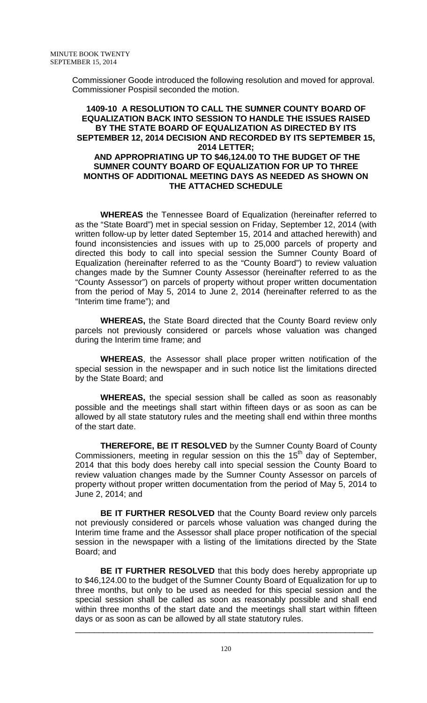Commissioner Goode introduced the following resolution and moved for approval. Commissioner Pospisil seconded the motion.

#### **1409-10 A RESOLUTION TO CALL THE SUMNER COUNTY BOARD OF EQUALIZATION BACK INTO SESSION TO HANDLE THE ISSUES RAISED BY THE STATE BOARD OF EQUALIZATION AS DIRECTED BY ITS SEPTEMBER 12, 2014 DECISION AND RECORDED BY ITS SEPTEMBER 15, 2014 LETTER; AND APPROPRIATING UP TO \$46,124.00 TO THE BUDGET OF THE SUMNER COUNTY BOARD OF EQUALIZATION FOR UP TO THREE MONTHS OF ADDITIONAL MEETING DAYS AS NEEDED AS SHOWN ON THE ATTACHED SCHEDULE**

**WHEREAS** the Tennessee Board of Equalization (hereinafter referred to as the "State Board") met in special session on Friday, September 12, 2014 (with written follow-up by letter dated September 15, 2014 and attached herewith) and found inconsistencies and issues with up to 25,000 parcels of property and directed this body to call into special session the Sumner County Board of Equalization (hereinafter referred to as the "County Board") to review valuation changes made by the Sumner County Assessor (hereinafter referred to as the "County Assessor") on parcels of property without proper written documentation from the period of May 5, 2014 to June 2, 2014 (hereinafter referred to as the "Interim time frame"); and

**WHEREAS,** the State Board directed that the County Board review only parcels not previously considered or parcels whose valuation was changed during the Interim time frame; and

**WHEREAS**, the Assessor shall place proper written notification of the special session in the newspaper and in such notice list the limitations directed by the State Board; and

**WHEREAS,** the special session shall be called as soon as reasonably possible and the meetings shall start within fifteen days or as soon as can be allowed by all state statutory rules and the meeting shall end within three months of the start date.

**THEREFORE, BE IT RESOLVED** by the Sumner County Board of County Commissioners, meeting in regular session on this the  $15<sup>th</sup>$  day of September, 2014 that this body does hereby call into special session the County Board to review valuation changes made by the Sumner County Assessor on parcels of property without proper written documentation from the period of May 5, 2014 to June 2, 2014; and

**BE IT FURTHER RESOLVED** that the County Board review only parcels not previously considered or parcels whose valuation was changed during the Interim time frame and the Assessor shall place proper notification of the special session in the newspaper with a listing of the limitations directed by the State Board; and

**BE IT FURTHER RESOLVED** that this body does hereby appropriate up to \$46,124.00 to the budget of the Sumner County Board of Equalization for up to three months, but only to be used as needed for this special session and the special session shall be called as soon as reasonably possible and shall end within three months of the start date and the meetings shall start within fifteen days or as soon as can be allowed by all state statutory rules.

\_\_\_\_\_\_\_\_\_\_\_\_\_\_\_\_\_\_\_\_\_\_\_\_\_\_\_\_\_\_\_\_\_\_\_\_\_\_\_\_\_\_\_\_\_\_\_\_\_\_\_\_\_\_\_\_\_\_\_\_\_\_\_\_